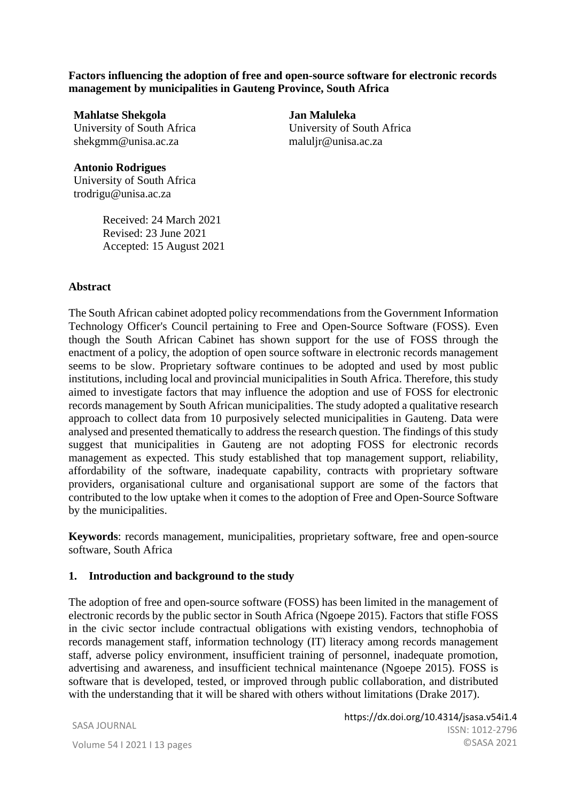**Factors influencing the adoption of free and open-source software for electronic records management by municipalities in Gauteng Province, South Africa**

**Mahlatse Shekgola** University of South Africa shekgmm@unisa.ac.za

**Jan Maluleka**  University of South Africa maluljr@unisa.ac.za

**Antonio Rodrigues** University of South Africa trodrigu@unisa.ac.za

> Received: 24 March 2021 Revised: 23 June 2021 Accepted: 15 August 2021

#### **Abstract**

The South African cabinet adopted policy recommendations from the Government Information Technology Officer's Council pertaining to Free and Open-Source Software (FOSS). Even though the South African Cabinet has shown support for the use of FOSS through the enactment of a policy, the adoption of open source software in electronic records management seems to be slow. Proprietary software continues to be adopted and used by most public institutions, including local and provincial municipalities in South Africa. Therefore, this study aimed to investigate factors that may influence the adoption and use of FOSS for electronic records management by South African municipalities. The study adopted a qualitative research approach to collect data from 10 purposively selected municipalities in Gauteng. Data were analysed and presented thematically to address the research question. The findings of this study suggest that municipalities in Gauteng are not adopting FOSS for electronic records management as expected. This study established that top management support, reliability, affordability of the software, inadequate capability, contracts with proprietary software providers, organisational culture and organisational support are some of the factors that contributed to the low uptake when it comes to the adoption of Free and Open-Source Software by the municipalities.

**Keywords**: records management, municipalities, proprietary software, free and open-source software, South Africa

#### **1. Introduction and background to the study**

The adoption of free and open-source software (FOSS) has been limited in the management of electronic records by the public sector in South Africa (Ngoepe 2015). Factors that stifle FOSS in the civic sector include contractual obligations with existing vendors, technophobia of records management staff, information technology (IT) literacy among records management staff, adverse policy environment, insufficient training of personnel, inadequate promotion, advertising and awareness, and insufficient technical maintenance (Ngoepe 2015). FOSS is software that is developed, tested, or improved through public collaboration, and distributed with the understanding that it will be shared with others without limitations (Drake 2017).

SASA JOURNAL

JOURNAL OF THE SOUTH AFRICAN SOCIETY OF ARCHIVISTS, VOL.54, 2021 | SASA© 43 Volume 54 I 2021 I 13 pages https://dx.doi.org/10.4314/jsasa.v54i1.4 ISSN: 1012-2796 ©SASA 2021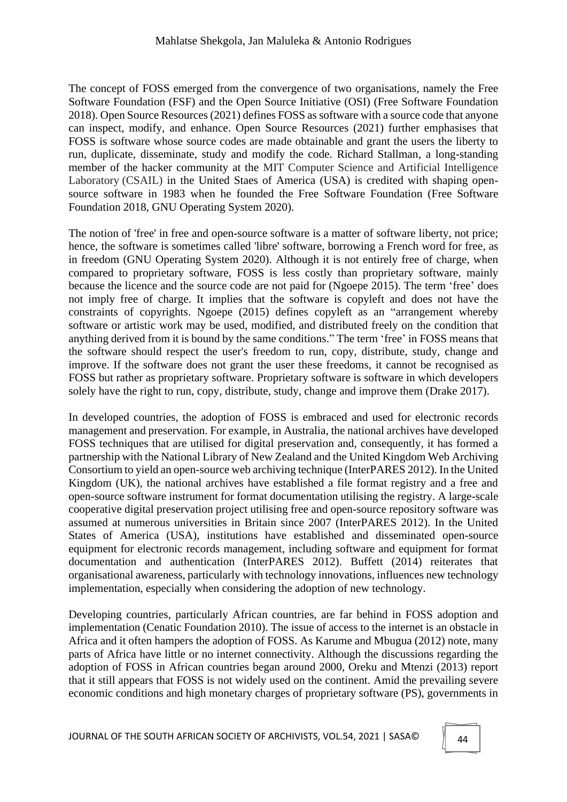The concept of FOSS emerged from the convergence of two organisations, namely the Free Software Foundation (FSF) and the Open Source Initiative (OSI) (Free Software Foundation 2018). Open Source Resources (2021) defines FOSS as software with a source code that anyone can inspect, modify, and enhance. Open Source Resources (2021) further emphasises that FOSS is software whose source codes are made obtainable and grant the users the liberty to run, duplicate, disseminate, study and modify the code. Richard Stallman, a long-standing member of the hacker community at the MIT Computer Science and Artificial Intelligence Laboratory (CSAIL) in the United Staes of America (USA) is credited with shaping opensource software in 1983 when he founded the Free Software Foundation (Free Software Foundation 2018, GNU Operating System 2020).

The notion of 'free' in free and open-source software is a matter of software liberty, not price; hence, the software is sometimes called 'libre' software, borrowing a French word for free, as in freedom (GNU Operating System 2020). Although it is not entirely free of charge, when compared to proprietary software, FOSS is less costly than proprietary software, mainly because the licence and the source code are not paid for (Ngoepe 2015). The term 'free' does not imply free of charge. It implies that the software is copyleft and does not have the constraints of copyrights. Ngoepe (2015) defines copyleft as an "arrangement whereby software or artistic work may be used, modified, and distributed freely on the condition that anything derived from it is bound by the same conditions." The term 'free' in FOSS means that the software should respect the user's freedom to run, copy, distribute, study, change and improve. If the software does not grant the user these freedoms, it cannot be recognised as FOSS but rather as proprietary software. Proprietary software is software in which developers solely have the right to run, copy, distribute, study, change and improve them (Drake 2017).

In developed countries, the adoption of FOSS is embraced and used for electronic records management and preservation. For example, in Australia, the national archives have developed FOSS techniques that are utilised for digital preservation and, consequently, it has formed a partnership with the National Library of New Zealand and the United Kingdom Web Archiving Consortium to yield an open-source web archiving technique (InterPARES 2012). In the United Kingdom (UK), the national archives have established a file format registry and a free and open-source software instrument for format documentation utilising the registry. A large-scale cooperative digital preservation project utilising free and open-source repository software was assumed at numerous universities in Britain since 2007 (InterPARES 2012). In the United States of America (USA), institutions have established and disseminated open-source equipment for electronic records management, including software and equipment for format documentation and authentication (InterPARES 2012). Buffett (2014) reiterates that organisational awareness, particularly with technology innovations, influences new technology implementation, especially when considering the adoption of new technology.

Developing countries, particularly African countries, are far behind in FOSS adoption and implementation (Cenatic Foundation 2010). The issue of access to the internet is an obstacle in Africa and it often hampers the adoption of FOSS. As Karume and Mbugua (2012) note, many parts of Africa have little or no internet connectivity. Although the discussions regarding the adoption of FOSS in African countries began around 2000, Oreku and Mtenzi (2013) report that it still appears that FOSS is not widely used on the continent. Amid the prevailing severe economic conditions and high monetary charges of proprietary software (PS), governments in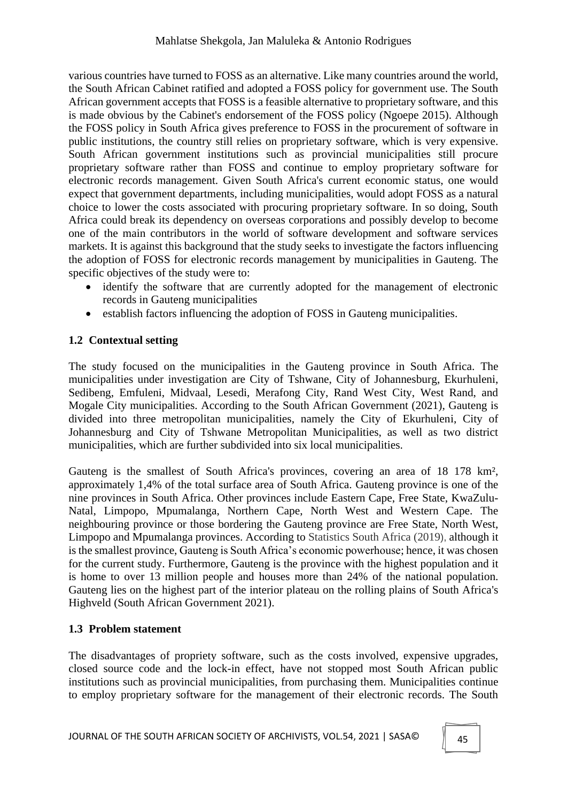various countries have turned to FOSS as an alternative. Like many countries around the world, the South African Cabinet ratified and adopted a FOSS policy for government use. The South African government accepts that FOSS is a feasible alternative to proprietary software, and this is made obvious by the Cabinet's endorsement of the FOSS policy (Ngoepe 2015). Although the FOSS policy in South Africa gives preference to FOSS in the procurement of software in public institutions, the country still relies on proprietary software, which is very expensive. South African government institutions such as provincial municipalities still procure proprietary software rather than FOSS and continue to employ proprietary software for electronic records management. Given South Africa's current economic status, one would expect that government departments, including municipalities, would adopt FOSS as a natural choice to lower the costs associated with procuring proprietary software. In so doing, South Africa could break its dependency on overseas corporations and possibly develop to become one of the main contributors in the world of software development and software services markets. It is against this background that the study seeks to investigate the factors influencing the adoption of FOSS for electronic records management by municipalities in Gauteng. The specific objectives of the study were to:

- identify the software that are currently adopted for the management of electronic records in Gauteng municipalities
- establish factors influencing the adoption of FOSS in Gauteng municipalities.

# **1.2 Contextual setting**

The study focused on the municipalities in the Gauteng province in South Africa. The municipalities under investigation are City of Tshwane, City of Johannesburg, Ekurhuleni, Sedibeng, Emfuleni, Midvaal, Lesedi, Merafong City, Rand West City, West Rand, and Mogale City municipalities. According to the South African Government (2021), Gauteng is divided into three metropolitan municipalities, namely the City of Ekurhuleni, City of Johannesburg and City of Tshwane Metropolitan Municipalities, as well as two district municipalities, which are further subdivided into six local municipalities.

Gauteng is the smallest of South Africa's provinces, covering an area of 18 178 km², approximately 1,4% of the total surface area of South Africa. Gauteng province is one of the nine provinces in South Africa. Other provinces include Eastern Cape, Free State, KwaZulu-Natal, Limpopo, Mpumalanga, Northern Cape, North West and Western Cape. The neighbouring province or those bordering the Gauteng province are Free State, North West, Limpopo and Mpumalanga provinces. According to Statistics South Africa (2019), although it is the smallest province, Gauteng is South Africa's economic powerhouse; hence, it was chosen for the current study. Furthermore, Gauteng is the province with the highest population and it is home to over 13 million people and houses more than 24% of the national population. Gauteng lies on the highest part of the interior plateau on the rolling plains of South Africa's Highveld (South African Government 2021).

## **1.3 Problem statement**

The disadvantages of propriety software, such as the costs involved, expensive upgrades, closed source code and the lock-in effect, have not stopped most South African public institutions such as provincial municipalities, from purchasing them. Municipalities continue to employ proprietary software for the management of their electronic records. The South

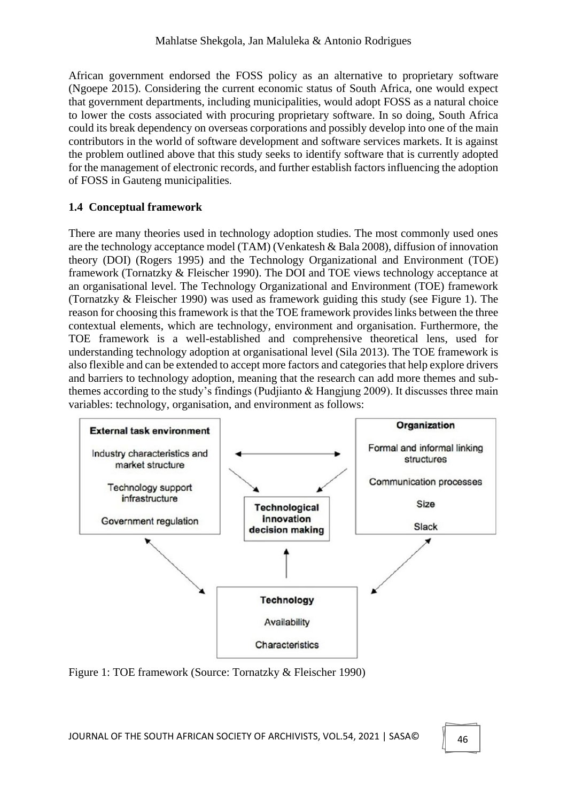African government endorsed the FOSS policy as an alternative to proprietary software (Ngoepe 2015). Considering the current economic status of South Africa, one would expect that government departments, including municipalities, would adopt FOSS as a natural choice to lower the costs associated with procuring proprietary software. In so doing, South Africa could its break dependency on overseas corporations and possibly develop into one of the main contributors in the world of software development and software services markets. It is against the problem outlined above that this study seeks to identify software that is currently adopted for the management of electronic records, and further establish factors influencing the adoption of FOSS in Gauteng municipalities.

### **1.4 Conceptual framework**

There are many theories used in technology adoption studies. The most commonly used ones are the technology acceptance model (TAM) (Venkatesh & Bala 2008), diffusion of innovation theory (DOI) (Rogers 1995) and the Technology Organizational and Environment (TOE) framework (Tornatzky & Fleischer 1990). The DOI and TOE views technology acceptance at an organisational level. The Technology Organizational and Environment (TOE) framework (Tornatzky & Fleischer 1990) was used as framework guiding this study (see Figure 1). The reason for choosing this framework is that the TOE framework provides links between the three contextual elements, which are technology, environment and organisation. Furthermore, the TOE framework is a well-established and comprehensive theoretical lens, used for understanding technology adoption at organisational level (Sila 2013). The TOE framework is also flexible and can be extended to accept more factors and categories that help explore drivers and barriers to technology adoption, meaning that the research can add more themes and subthemes according to the study's findings (Pudjianto & Hangjung 2009). It discusses three main variables: technology, organisation, and environment as follows:



Figure 1: TOE framework (Source: Tornatzky & Fleischer 1990)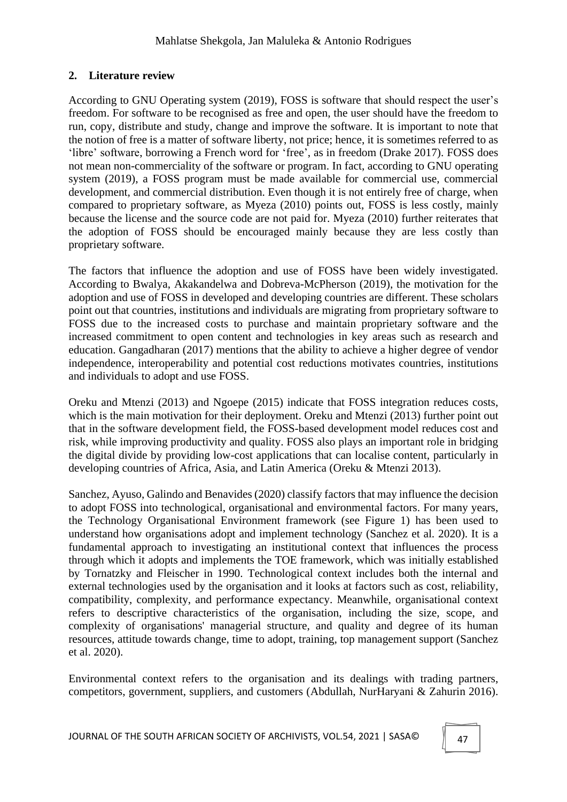### **2. Literature review**

According to GNU Operating system (2019), FOSS is software that should respect the user's freedom. For software to be recognised as free and open, the user should have the freedom to run, copy, distribute and study, change and improve the software. It is important to note that the notion of free is a matter of software liberty, not price; hence, it is sometimes referred to as 'libre' software, borrowing a French word for 'free', as in freedom (Drake 2017). FOSS does not mean non-commerciality of the software or program. In fact, according to GNU operating system (2019), a FOSS program must be made available for commercial use, commercial development, and commercial distribution. Even though it is not entirely free of charge, when compared to proprietary software, as Myeza (2010) points out, FOSS is less costly, mainly because the license and the source code are not paid for. Myeza (2010) further reiterates that the adoption of FOSS should be encouraged mainly because they are less costly than proprietary software.

The factors that influence the adoption and use of FOSS have been widely investigated. According to Bwalya, Akakandelwa and Dobreva-McPherson (2019), the motivation for the adoption and use of FOSS in developed and developing countries are different. These scholars point out that countries, institutions and individuals are migrating from proprietary software to FOSS due to the increased costs to purchase and maintain proprietary software and the increased commitment to open content and technologies in key areas such as research and education. Gangadharan (2017) mentions that the ability to achieve a higher degree of vendor independence, interoperability and potential cost reductions motivates countries, institutions and individuals to adopt and use FOSS.

Oreku and Mtenzi (2013) and Ngoepe (2015) indicate that FOSS integration reduces costs, which is the main motivation for their deployment. Oreku and Mtenzi (2013) further point out that in the software development field, the FOSS-based development model reduces cost and risk, while improving productivity and quality. FOSS also plays an important role in bridging the digital divide by providing low-cost applications that can localise content, particularly in developing countries of Africa, Asia, and Latin America (Oreku & Mtenzi 2013).

Sanchez, Ayuso, Galindo and Benavides (2020) classify factors that may influence the decision to adopt FOSS into technological, organisational and environmental factors. For many years, the Technology Organisational Environment framework (see Figure 1) has been used to understand how organisations adopt and implement technology (Sanchez et al. 2020). It is a fundamental approach to investigating an institutional context that influences the process through which it adopts and implements the TOE framework, which was initially established by Tornatzky and Fleischer in 1990. Technological context includes both the internal and external technologies used by the organisation and it looks at factors such as cost, reliability, compatibility, complexity, and performance expectancy. Meanwhile, organisational context refers to descriptive characteristics of the organisation, including the size, scope, and complexity of organisations' managerial structure, and quality and degree of its human resources, attitude towards change, time to adopt, training, top management support (Sanchez et al. 2020).

Environmental context refers to the organisation and its dealings with trading partners, competitors, government, suppliers, and customers (Abdullah, NurHaryani & Zahurin 2016).

JOURNAL OF THE SOUTH AFRICAN SOCIETY OF ARCHIVISTS, VOL.54, 2021 | SASA©  $\parallel$  47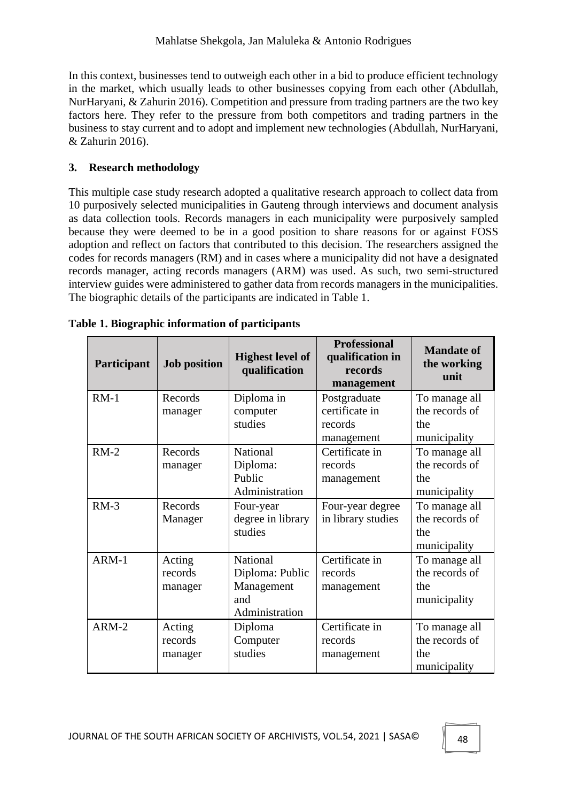In this context, businesses tend to outweigh each other in a bid to produce efficient technology in the market, which usually leads to other businesses copying from each other (Abdullah, NurHaryani, & Zahurin 2016). Competition and pressure from trading partners are the two key factors here. They refer to the pressure from both competitors and trading partners in the business to stay current and to adopt and implement new technologies (Abdullah, NurHaryani, & Zahurin 2016).

## **3. Research methodology**

This multiple case study research adopted a qualitative research approach to collect data from 10 purposively selected municipalities in Gauteng through interviews and document analysis as data collection tools. Records managers in each municipality were purposively sampled because they were deemed to be in a good position to share reasons for or against FOSS adoption and reflect on factors that contributed to this decision. The researchers assigned the codes for records managers (RM) and in cases where a municipality did not have a designated records manager, acting records managers (ARM) was used. As such, two semi-structured interview guides were administered to gather data from records managers in the municipalities. The biographic details of the participants are indicated in Table 1.

| Participant | <b>Job position</b> | <b>Highest level of</b><br>qualification | <b>Professional</b><br>qualification in<br>records<br>management | <b>Mandate of</b><br>the working<br>unit |
|-------------|---------------------|------------------------------------------|------------------------------------------------------------------|------------------------------------------|
| $RM-1$      | Records             | Diploma in                               | Postgraduate<br>certificate in                                   | To manage all<br>the records of          |
|             | manager             | computer<br>studies                      | records                                                          | the                                      |
|             |                     |                                          | management                                                       | municipality                             |
| $RM-2$      | Records             | National                                 | Certificate in                                                   | To manage all                            |
|             | manager             | Diploma:                                 | records                                                          | the records of                           |
|             |                     | Public                                   | management                                                       | the                                      |
|             |                     | Administration                           |                                                                  | municipality                             |
| $RM-3$      | Records             | Four-year                                | Four-year degree                                                 | To manage all                            |
|             | Manager             | degree in library                        | in library studies                                               | the records of                           |
|             |                     | studies                                  |                                                                  | the                                      |
|             |                     |                                          |                                                                  | municipality                             |
| ARM-1       | Acting              | National                                 | Certificate in                                                   | To manage all                            |
|             | records             | Diploma: Public                          | records                                                          | the records of                           |
|             | manager             | Management                               | management                                                       | the                                      |
|             |                     | and                                      |                                                                  | municipality                             |
|             |                     | Administration                           |                                                                  |                                          |
| ARM-2       | Acting              | Diploma                                  | Certificate in                                                   | To manage all                            |
|             | records             | Computer                                 | records                                                          | the records of                           |
|             | manager             | studies                                  | management                                                       | the                                      |
|             |                     |                                          |                                                                  | municipality                             |

|  | Table 1. Biographic information of participants |  |
|--|-------------------------------------------------|--|
|  |                                                 |  |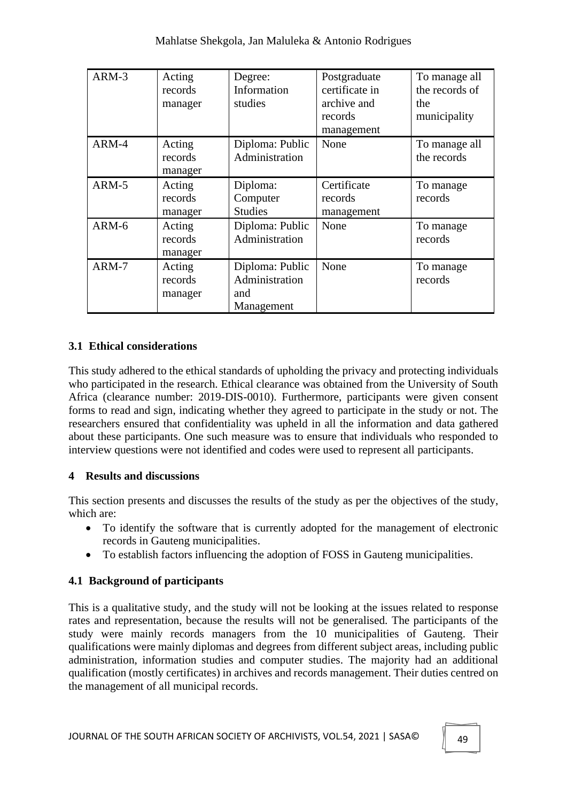| ARM-3 | Acting<br>records<br>manager | Degree:<br>Information<br>studies                      | Postgraduate<br>certificate in<br>archive and<br>records<br>management | To manage all<br>the records of<br>the<br>municipality |
|-------|------------------------------|--------------------------------------------------------|------------------------------------------------------------------------|--------------------------------------------------------|
| ARM-4 | Acting<br>records<br>manager | Diploma: Public<br>Administration                      | None                                                                   | To manage all<br>the records                           |
| ARM-5 | Acting<br>records<br>manager | Diploma:<br>Computer<br><b>Studies</b>                 | Certificate<br>records<br>management                                   | To manage<br>records                                   |
| ARM-6 | Acting<br>records<br>manager | Diploma: Public<br>Administration                      | None                                                                   | To manage<br>records                                   |
| ARM-7 | Acting<br>records<br>manager | Diploma: Public<br>Administration<br>and<br>Management | None                                                                   | To manage<br>records                                   |

#### **3.1 Ethical considerations**

This study adhered to the ethical standards of upholding the privacy and protecting individuals who participated in the research. Ethical clearance was obtained from the University of South Africa (clearance number: 2019-DIS-0010). Furthermore, participants were given consent forms to read and sign, indicating whether they agreed to participate in the study or not. The researchers ensured that confidentiality was upheld in all the information and data gathered about these participants. One such measure was to ensure that individuals who responded to interview questions were not identified and codes were used to represent all participants.

## **4 Results and discussions**

This section presents and discusses the results of the study as per the objectives of the study, which are:

- To identify the software that is currently adopted for the management of electronic records in Gauteng municipalities.
- To establish factors influencing the adoption of FOSS in Gauteng municipalities.

## **4.1 Background of participants**

This is a qualitative study, and the study will not be looking at the issues related to response rates and representation, because the results will not be generalised. The participants of the study were mainly records managers from the 10 municipalities of Gauteng. Their qualifications were mainly diplomas and degrees from different subject areas, including public administration, information studies and computer studies. The majority had an additional qualification (mostly certificates) in archives and records management. Their duties centred on the management of all municipal records.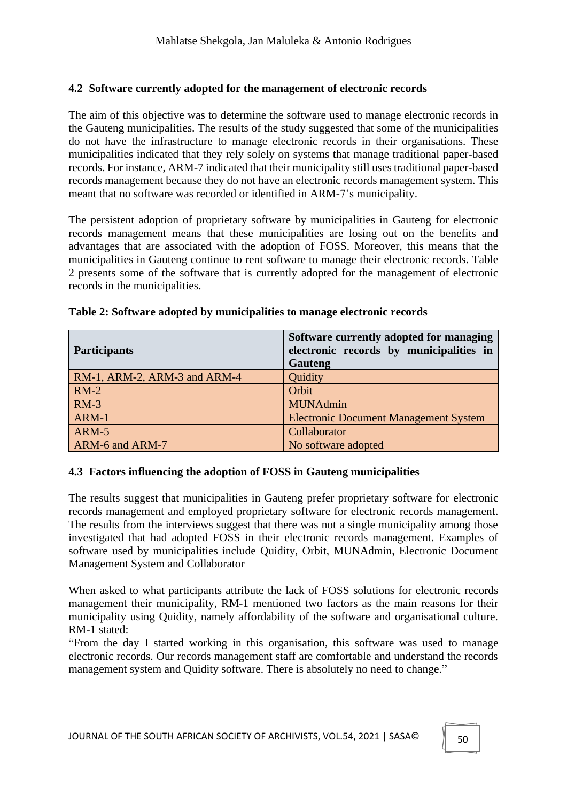#### **4.2 Software currently adopted for the management of electronic records**

The aim of this objective was to determine the software used to manage electronic records in the Gauteng municipalities. The results of the study suggested that some of the municipalities do not have the infrastructure to manage electronic records in their organisations. These municipalities indicated that they rely solely on systems that manage traditional paper-based records. For instance, ARM-7 indicated that their municipality still uses traditional paper-based records management because they do not have an electronic records management system. This meant that no software was recorded or identified in ARM-7's municipality.

The persistent adoption of proprietary software by municipalities in Gauteng for electronic records management means that these municipalities are losing out on the benefits and advantages that are associated with the adoption of FOSS. Moreover, this means that the municipalities in Gauteng continue to rent software to manage their electronic records. Table 2 presents some of the software that is currently adopted for the management of electronic records in the municipalities.

| <b>Participants</b>          | Software currently adopted for managing<br>electronic records by municipalities in<br>Gauteng |
|------------------------------|-----------------------------------------------------------------------------------------------|
| RM-1, ARM-2, ARM-3 and ARM-4 | Quidity                                                                                       |
| $RM-2$                       | Orbit                                                                                         |
| $RM-3$                       | <b>MUNAdmin</b>                                                                               |
| ARM-1                        | <b>Electronic Document Management System</b>                                                  |
| ARM-5                        | Collaborator                                                                                  |
| ARM-6 and ARM-7              | No software adopted                                                                           |

#### **Table 2: Software adopted by municipalities to manage electronic records**

#### **4.3 Factors influencing the adoption of FOSS in Gauteng municipalities**

The results suggest that municipalities in Gauteng prefer proprietary software for electronic records management and employed proprietary software for electronic records management. The results from the interviews suggest that there was not a single municipality among those investigated that had adopted FOSS in their electronic records management. Examples of software used by municipalities include Quidity, Orbit, MUNAdmin, Electronic Document Management System and Collaborator

When asked to what participants attribute the lack of FOSS solutions for electronic records management their municipality, RM-1 mentioned two factors as the main reasons for their municipality using Quidity, namely affordability of the software and organisational culture. RM-1 stated:

"From the day I started working in this organisation, this software was used to manage electronic records. Our records management staff are comfortable and understand the records management system and Quidity software. There is absolutely no need to change."

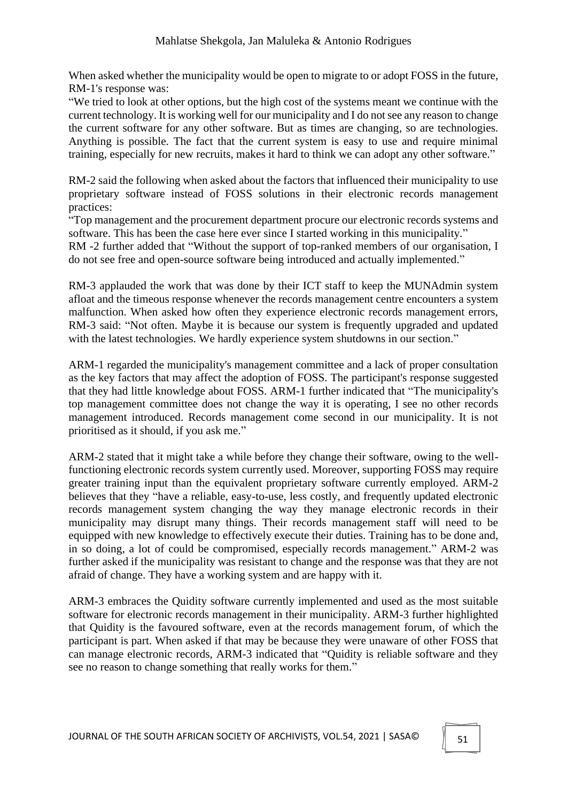When asked whether the municipality would be open to migrate to or adopt FOSS in the future, RM-1's response was:

"We tried to look at other options, but the high cost of the systems meant we continue with the current technology. It is working well for our municipality and I do not see any reason to change the current software for any other software. But as times are changing, so are technologies. Anything is possible. The fact that the current system is easy to use and require minimal training, especially for new recruits, makes it hard to think we can adopt any other software."

RM-2 said the following when asked about the factors that influenced their municipality to use proprietary software instead of FOSS solutions in their electronic records management practices:

"Top management and the procurement department procure our electronic records systems and software. This has been the case here ever since I started working in this municipality." RM -2 further added that "Without the support of top-ranked members of our organisation, I do not see free and open-source software being introduced and actually implemented."

RM-3 applauded the work that was done by their ICT staff to keep the MUNAdmin system afloat and the timeous response whenever the records management centre encounters a system malfunction. When asked how often they experience electronic records management errors, RM-3 said: "Not often. Maybe it is because our system is frequently upgraded and updated with the latest technologies. We hardly experience system shutdowns in our section."

ARM-1 regarded the municipality's management committee and a lack of proper consultation as the key factors that may affect the adoption of FOSS. The participant's response suggested that they had little knowledge about FOSS. ARM-1 further indicated that "The municipality's top management committee does not change the way it is operating, I see no other records management introduced. Records management come second in our municipality. It is not prioritised as it should, if you ask me."

ARM-2 stated that it might take a while before they change their software, owing to the wellfunctioning electronic records system currently used. Moreover, supporting FOSS may require greater training input than the equivalent proprietary software currently employed. ARM-2 believes that they "have a reliable, easy-to-use, less costly, and frequently updated electronic records management system changing the way they manage electronic records in their municipality may disrupt many things. Their records management staff will need to be equipped with new knowledge to effectively execute their duties. Training has to be done and, in so doing, a lot of could be compromised, especially records management." ARM-2 was further asked if the municipality was resistant to change and the response was that they are not afraid of change. They have a working system and are happy with it.

ARM-3 embraces the Quidity software currently implemented and used as the most suitable software for electronic records management in their municipality. ARM-3 further highlighted that Quidity is the favoured software, even at the records management forum, of which the participant is part. When asked if that may be because they were unaware of other FOSS that can manage electronic records, ARM-3 indicated that "Quidity is reliable software and they see no reason to change something that really works for them."

JOURNAL OF THE SOUTH AFRICAN SOCIETY OF ARCHIVISTS, VOL.54, 2021 | SASA©  $\parallel$  51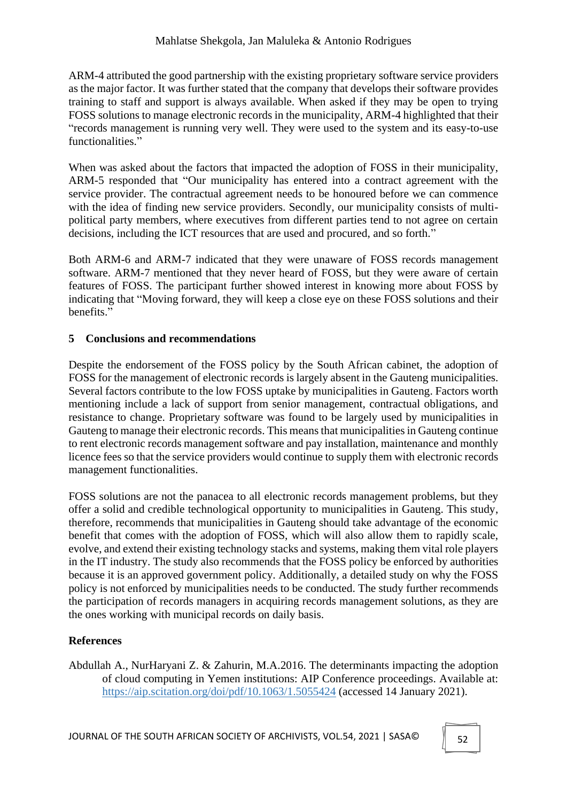ARM-4 attributed the good partnership with the existing proprietary software service providers as the major factor. It was further stated that the company that develops their software provides training to staff and support is always available. When asked if they may be open to trying FOSS solutions to manage electronic records in the municipality, ARM-4 highlighted that their "records management is running very well. They were used to the system and its easy-to-use functionalities."

When was asked about the factors that impacted the adoption of FOSS in their municipality, ARM-5 responded that "Our municipality has entered into a contract agreement with the service provider. The contractual agreement needs to be honoured before we can commence with the idea of finding new service providers. Secondly, our municipality consists of multipolitical party members, where executives from different parties tend to not agree on certain decisions, including the ICT resources that are used and procured, and so forth."

Both ARM-6 and ARM-7 indicated that they were unaware of FOSS records management software. ARM-7 mentioned that they never heard of FOSS, but they were aware of certain features of FOSS. The participant further showed interest in knowing more about FOSS by indicating that "Moving forward, they will keep a close eye on these FOSS solutions and their benefits."

### **5 Conclusions and recommendations**

Despite the endorsement of the FOSS policy by the South African cabinet, the adoption of FOSS for the management of electronic records is largely absent in the Gauteng municipalities. Several factors contribute to the low FOSS uptake by municipalities in Gauteng. Factors worth mentioning include a lack of support from senior management, contractual obligations, and resistance to change. Proprietary software was found to be largely used by municipalities in Gauteng to manage their electronic records. This means that municipalities in Gauteng continue to rent electronic records management software and pay installation, maintenance and monthly licence fees so that the service providers would continue to supply them with electronic records management functionalities.

FOSS solutions are not the panacea to all electronic records management problems, but they offer a solid and credible technological opportunity to municipalities in Gauteng. This study, therefore, recommends that municipalities in Gauteng should take advantage of the economic benefit that comes with the adoption of FOSS, which will also allow them to rapidly scale, evolve, and extend their existing technology stacks and systems, making them vital role players in the IT industry. The study also recommends that the FOSS policy be enforced by authorities because it is an approved government policy. Additionally, a detailed study on why the FOSS policy is not enforced by municipalities needs to be conducted. The study further recommends the participation of records managers in acquiring records management solutions, as they are the ones working with municipal records on daily basis.

## **References**

Abdullah A., NurHaryani Z. & Zahurin, M.A.2016. The determinants impacting the adoption of cloud computing in Yemen institutions: AIP Conference proceedings. Available at: https://aip.scitation.org/doi/pdf/10.1063/1.5055424 (accessed 14 January 2021).

JOURNAL OF THE SOUTH AFRICAN SOCIETY OF ARCHIVISTS, VOL.54, 2021 | SASA©  $\parallel$  52

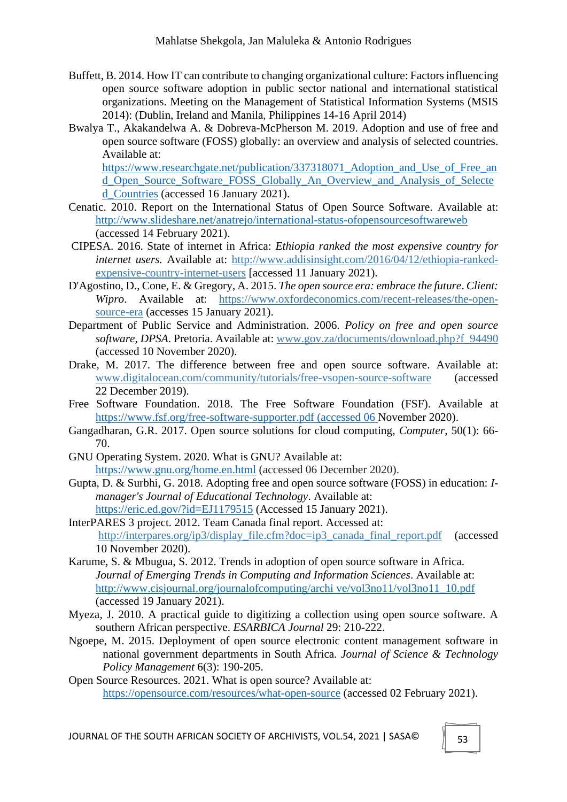- Buffett, B. 2014. How IT can contribute to changing organizational culture: Factors influencing open source software adoption in public sector national and international statistical organizations. Meeting on the Management of Statistical Information Systems (MSIS 2014): (Dublin, Ireland and Manila, Philippines 14-16 April 2014)
- Bwalya T., Akakandelwa A. & Dobreva-McPherson M. 2019. Adoption and use of free and open source software (FOSS) globally: an overview and analysis of selected countries. Available at:

[https://www.researchgate.net/publication/337318071\\_Adoption\\_and\\_Use\\_of\\_Free\\_an](https://www.researchgate.net/publication/337318071_Adoption_and_Use_of_Free_and_Open_Source_Software_FOSS_Globally_An_Overview_and_Analysis_of_Selected_Countries) [d\\_Open\\_Source\\_Software\\_FOSS\\_Globally\\_An\\_Overview\\_and\\_Analysis\\_of\\_Selecte](https://www.researchgate.net/publication/337318071_Adoption_and_Use_of_Free_and_Open_Source_Software_FOSS_Globally_An_Overview_and_Analysis_of_Selected_Countries) [d\\_Countries](https://www.researchgate.net/publication/337318071_Adoption_and_Use_of_Free_and_Open_Source_Software_FOSS_Globally_An_Overview_and_Analysis_of_Selected_Countries) (accessed 16 January 2021).

- Cenatic. 2010. Report on the International Status of Open Source Software. Available at: http://www.slideshare.net/anatrejo/international-status-ofopensourcesoftwareweb (accessed 14 February 2021).
- CIPESA. 2016. State of internet in Africa: *Ethiopia ranked the most expensive country for internet users.* Available at: http://www.addisinsight.com/2016/04/12/ethiopia-rankedexpensive-country-internet-users [accessed 11 January 2021).
- D'Agostino, D., Cone, E. & Gregory, A. 2015. *The open source era: embrace the future*. *Client: Wipro*. Available at: https://www.oxfordeconomics.com/recent-releases/the-opensource-era (accesses 15 January 2021).
- Department of Public Service and Administration. 2006. *Policy on free and open source software, DPSA*. Pretoria. Available at: www.gov.za/documents/download.php?f\_94490 (accessed 10 November 2020).
- Drake, M. 2017. The difference between free and open source software. Available at: www.digitalocean.com/community/tutorials/free-vsopen-source-software (accessed 22 December 2019).
- Free Software Foundation. 2018. The Free Software Foundation (FSF). Available at [https://www.fsf.org/free-software-supporter.pdf \(accessed 06 N](https://www.fsf.org/free-software-supporter.pdf%20(accessed%2006)ovember 2020).
- Gangadharan, G.R. 2017. Open source solutions for cloud computing, *Computer*, 50(1): 66- 70.
- GNU Operating System. 2020. What is GNU? Available at: https://www.gnu.org/home.en.html (accessed 06 December 2020).
- Gupta, D. & Surbhi, G. 2018. Adopting free and open source software (FOSS) in education: *Imanager's Journal of Educational Technology*. Available at: <https://eric.ed.gov/?id=EJ1179515> (Accessed 15 January 2021).
- InterPARES 3 project. 2012. Team Canada final report. Accessed at: http://interpares.org/ip3/display\_file.cfm?doc=ip3\_canada\_final\_report.pdf (accessed 10 November 2020).
- Karume, S. & Mbugua, S. 2012. Trends in adoption of open source software in Africa. *Journal of Emerging Trends in Computing and Information Sciences*. Available at: http://www.cisjournal.org/journalofcomputing/archi ve/vol3no11/vol3no11\_10.pdf (accessed 19 January 2021).
- Myeza, J. 2010. A practical guide to digitizing a collection using open source software. A southern African perspective. *ESARBICA Journal* 29: 210-222.
- Ngoepe, M. 2015. Deployment of open source electronic content management software in national government departments in South Africa*. Journal of Science & Technology Policy Management* 6(3): 190-205.
- Open Source Resources. 2021. What is open source? Available at: https://opensource.com/resources/what-open-source (accessed 02 February 2021).